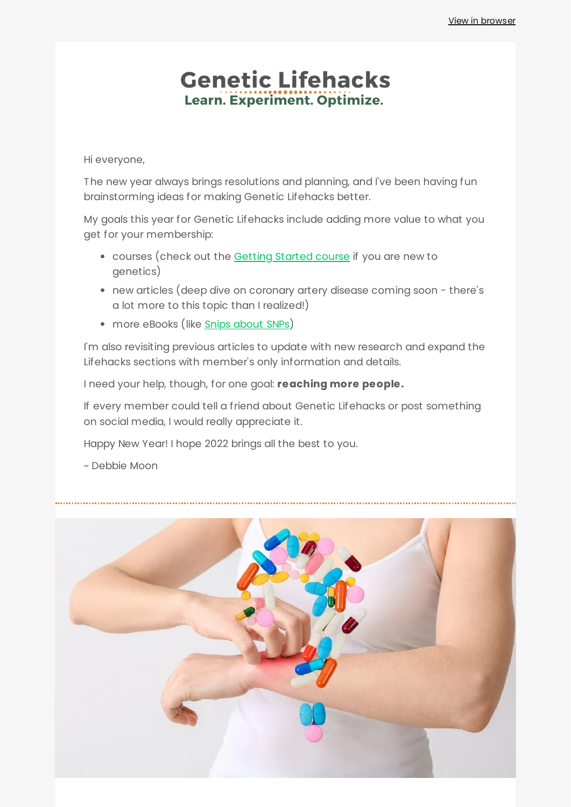# **Genetic Lifehacks** Learn. Experiment. Optimize.

Hi everyone,

The new year always brings resolutions and planning, and I've been having fun brainstorming ideas for making Genetic Lifehacks better.

My goals this year for Genetic Lifehacks include adding more value to what you get for your membership:

- courses (check out the Getting [Started](https://www.geneticlifehacks.com/courses/getting-started-with-genetics/) course if you are new to genetics)
- new articles (deep dive on coronary artery disease coming soon there's a lot more to this topic than I realized!)
- more eBooks (like Snips [about](https://www.geneticlifehacks.com/wp-content/uploads/2022/01/SnipsAboutSNPs.pdf) SNPs)

I'm also revisiting previous articles to update with new research and expand the Lifehacks sections with member's only information and details.

I need your help, though, for one goal: **reaching more people.**

If every member could tell a friend about Genetic Lifehacks or post something on social media, I would really appreciate it.

Happy New Year! I hope 2022 brings all the best to you.

~ Debbie Moon

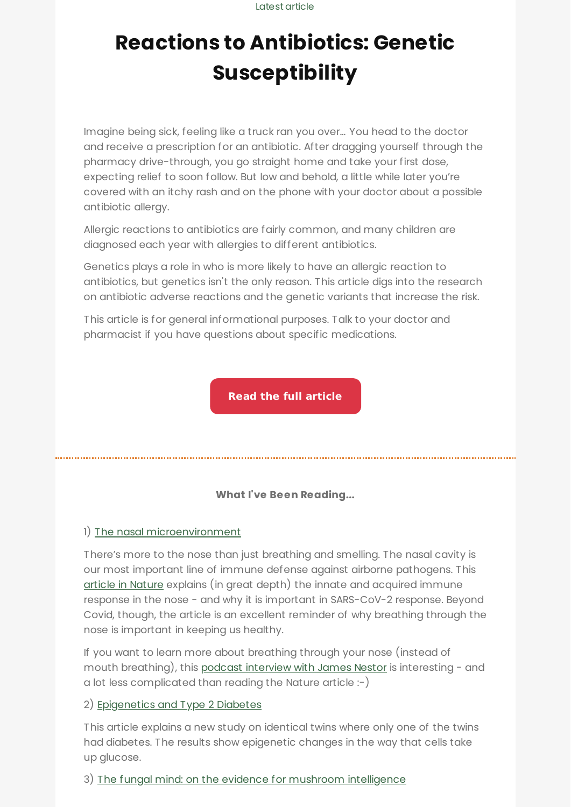Latest article

# **Reactions to Antibiotics: Genetic [Susceptibility](https://www.geneticlifehacks.com/reactions-to-antibiotics-genetic-susceptibility/)**

Imagine being sick, feeling like a truck ran you over… You head to the doctor and receive a prescription for an antibiotic. After dragging yourself through the pharmacy drive-through, you go straight home and take your first dose, expecting relief to soon follow. But low and behold, a little while later you're covered with an itchy rash and on the phone with your doctor about a possible antibiotic allergy.

Allergic reactions to antibiotics are fairly common, and many children are diagnosed each year with allergies to different antibiotics.

Genetics plays a role in who is more likely to have an allergic reaction to antibiotics, but genetics isn't the only reason. This article digs into the research on antibiotic adverse reactions and the genetic variants that increase the risk.

This article is for general informational purposes. Talk to your doctor and pharmacist if you have questions about specific medications.

**Read the full [article](https://www.geneticlifehacks.com/reactions-to-antibiotics-genetic-susceptibility/)**

## **What I've Been Reading...**

### 1) The nasal [microenvironment](https://www.nature.com/articles/s41385-020-00359-2)

There's more to the nose than just breathing and smelling. The nasal cavity is our most important line of immune defense against airborne pathogens. This article in [Nature](https://www.nature.com/articles/s41385-020-00359-2) explains (in great depth) the innate and acquired immune response in the nose - and why it is important in SARS-CoV-2 response. Beyond Covid, though, the article is an excellent reminder of why breathing through the nose is important in keeping us healthy.

If you want to learn more about breathing through your nose (instead of mouth breathing), this podcast [interview](https://highintensityhealth.com/nose-breathing-breath-holds-and-breath-work-for-deeper-sleep-reduced-stress/) with James Nestor is interesting - and a lot less complicated than reading the Nature article :-)

### 2) [Epigenetics](https://www.whatisepigenetics.com/twin-study-reveals-epigenetic-factors-for-type-2-diabetes/) and Type 2 Diabetes

This article explains a new study on identical twins where only one of the twins had diabetes. The results show epigenetic changes in the way that cells take up glucose.

### 3) The fungal mind: on the evidence for mushroom [intelligence](https://psyche.co/ideas/the-fungal-mind-on-the-evidence-for-mushroom-intelligence)